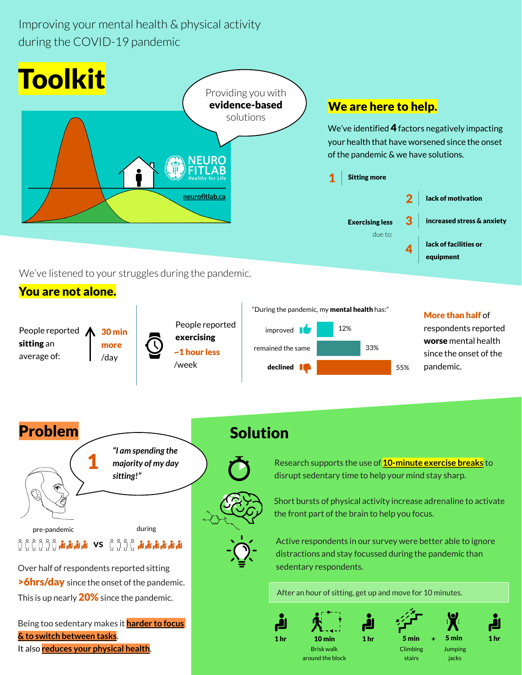#### Improving your mental health & physical activity during the COVID-19 pandemic